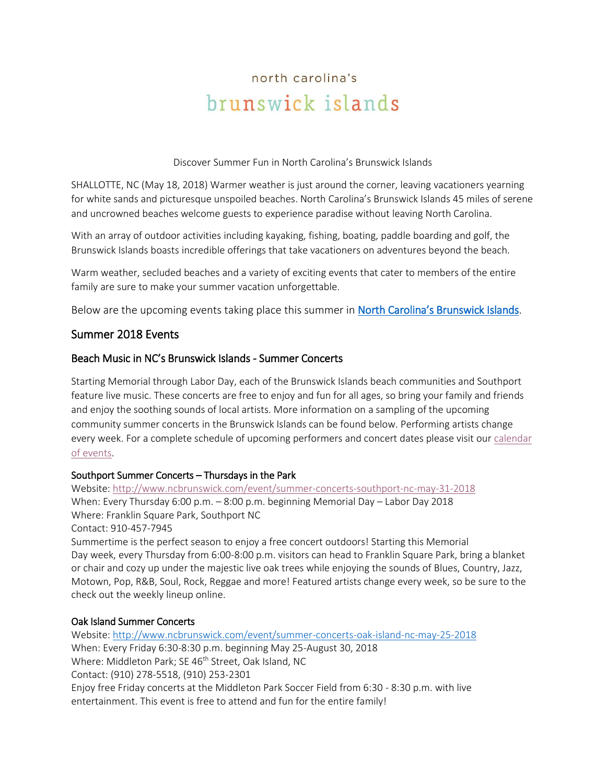# north carolina's brunswick islands

Discover Summer Fun in North Carolina's Brunswick Islands

SHALLOTTE, NC (May 18, 2018) Warmer weather is just around the corner, leaving vacationers yearning for white sands and picturesque unspoiled beaches. North Carolina's Brunswick Islands 45 miles of serene and uncrowned beaches welcome guests to experience paradise without leaving North Carolina.

With an array of outdoor activities including kayaking, fishing, boating, paddle boarding and golf, the Brunswick Islands boasts incredible offerings that take vacationers on adventures beyond the beach.

Warm weather, secluded beaches and a variety of exciting events that cater to members of the entire family are sure to make your summer vacation unforgettable.

Below are the upcoming events taking place this summer in [North Carolina's Brunswick Islands](http://www.ncbrunswick.com/).

# Summer 2018 Events

## Beach Music in NC's Brunswick Islands - Summer Concerts

Starting Memorial through Labor Day, each of the Brunswick Islands beach communities and Southport feature live music. These concerts are free to enjoy and fun for all ages, so bring your family and friends and enjoy the soothing sounds of local artists. More information on a sampling of the upcoming community summer concerts in the Brunswick Islands can be found below. Performing artists change every week. For a complete schedule of upcoming performers and concert dates please visit our [calendar](http://www.ncbrunswick.com/events)  [of events.](http://www.ncbrunswick.com/events)

#### Southport Summer Concerts – Thursdays in the Park

Website:<http://www.ncbrunswick.com/event/summer-concerts-southport-nc-may-31-2018> When: Every Thursday 6:00 p.m. – 8:00 p.m. beginning Memorial Day – Labor Day 2018 Where: Franklin Square Park, Southport NC Contact: [910-457-7945](tel:(910)%20457-7945)

Summertime is the perfect season to enjoy a free concert outdoors! Starting this Memorial Day week, every Thursday from 6:00-8:00 p.m. visitors can head to Franklin Square Park, bring a blanket or chair and cozy up under the majestic live oak trees while enjoying the sounds of Blues, Country, Jazz, Motown, Pop, R&B, Soul, Rock, Reggae and more! Featured artists change every week, so be sure to the check out the weekly lineup online.

#### Oak Island Summer Concerts

Website:<http://www.ncbrunswick.com/event/summer-concerts-oak-island-nc-may-25-2018> When: Every Friday 6:30-8:30 p.m. beginning May 25-August 30, 2018 Where: Middleton Park; SE 46<sup>th</sup> Street, Oak Island, NC Contact: (910) 278-5518, (910) 253-2301 Enjoy free Friday concerts at the Middleton Park Soccer Field from 6:30 - 8:30 p.m. with live entertainment. This event is free to attend and fun for the entire family!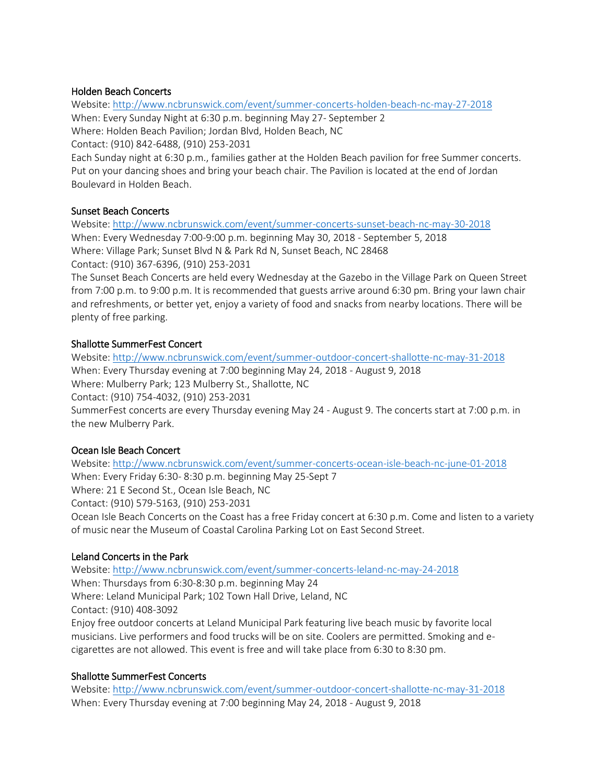## Holden Beach Concerts

Website:<http://www.ncbrunswick.com/event/summer-concerts-holden-beach-nc-may-27-2018> When: Every Sunday Night at 6:30 p.m. beginning May 27- September 2 Where: Holden Beach Pavilion; Jordan Blvd, Holden Beach, NC Contact: (910) 842-6488, (910) 253-2031 Each Sunday night at 6:30 p.m., families gather at the Holden Beach pavilion for free Summer concerts. Put on your dancing shoes and bring your beach chair. The Pavilion is located at the end of Jordan

Boulevard in Holden Beach.

#### Sunset Beach Concerts

Website:<http://www.ncbrunswick.com/event/summer-concerts-sunset-beach-nc-may-30-2018> When: Every Wednesday 7:00-9:00 p.m. beginning May 30, 2018 - September 5, 2018 Where: Village Park; Sunset Blvd N & Park Rd N, Sunset Beach, NC 28468 Contact: (910) 367-6396, (910) 253-2031

The Sunset Beach Concerts are held every Wednesday at the Gazebo in the Village Park on Queen Street from 7:00 p.m. to 9:00 p.m. It is recommended that guests arrive around 6:30 pm. Bring your lawn chair and refreshments, or better yet, enjoy a variety of food and snacks from nearby locations. There will be plenty of free parking.

#### Shallotte SummerFest Concert

Website:<http://www.ncbrunswick.com/event/summer-outdoor-concert-shallotte-nc-may-31-2018> When: Every Thursday evening at 7:00 beginning May 24, 2018 - August 9, 2018 Where: Mulberry Park; 123 Mulberry St., Shallotte, NC Contact: (910) 754-4032, (910) 253-2031 SummerFest concerts are every Thursday evening May 24 - August 9. The concerts start at 7:00 p.m. in the new Mulberry Park.

#### Ocean Isle Beach Concert

Website:<http://www.ncbrunswick.com/event/summer-concerts-ocean-isle-beach-nc-june-01-2018> When: Every Friday 6:30- 8:30 p.m. beginning May 25-Sept 7 Where: 21 E Second St., Ocean Isle Beach, NC Contact: (910) 579-5163, (910) 253-2031 Ocean Isle Beach Concerts on the Coast has a free Friday concert at 6:30 p.m. Come and listen to a variety of music near the Museum of Coastal Carolina Parking Lot on East Second Street.

#### Leland Concerts in the Park

Website:<http://www.ncbrunswick.com/event/summer-concerts-leland-nc-may-24-2018> When: Thursdays from 6:30-8:30 p.m. beginning May 24 Where: Leland Municipal Park; 102 Town Hall Drive, Leland, NC Contact: (910) 408-3092 Enjoy free outdoor concerts at Leland Municipal Park featuring live beach music by favorite local musicians. Live performers and food trucks will be on site. Coolers are permitted. Smoking and ecigarettes are not allowed. This event is free and will take place from 6:30 to 8:30 pm.

# Shallotte SummerFest Concerts

Website:<http://www.ncbrunswick.com/event/summer-outdoor-concert-shallotte-nc-may-31-2018> When: Every Thursday evening at 7:00 beginning May 24, 2018 - August 9, 2018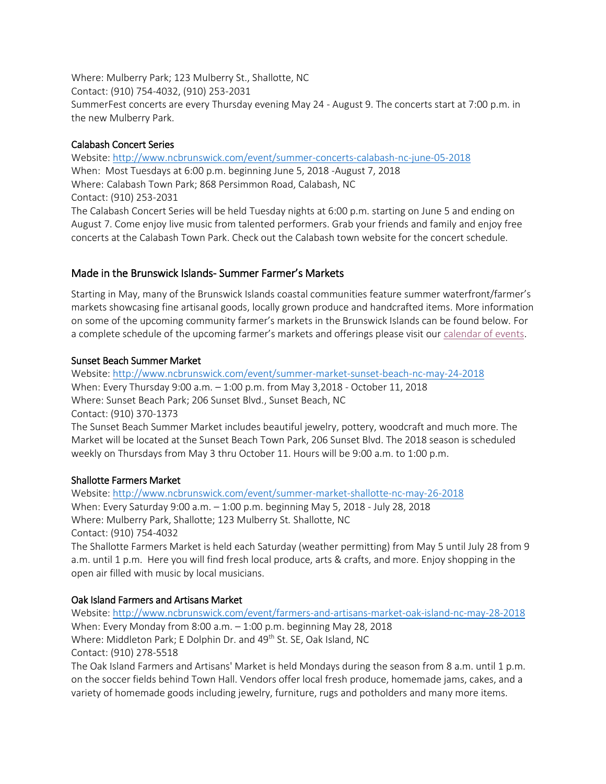Where: Mulberry Park; 123 Mulberry St., Shallotte, NC Contact: (910) 754-4032, (910) 253-2031 SummerFest concerts are every Thursday evening May 24 - August 9. The concerts start at 7:00 p.m. in the new Mulberry Park.

## Calabash Concert Series

Website:<http://www.ncbrunswick.com/event/summer-concerts-calabash-nc-june-05-2018> When: Most Tuesdays at 6:00 p.m. beginning June 5, 2018 -August 7, 2018 Where: Calabash Town Park; 868 Persimmon Road, Calabash, NC Contact: (910) 253-2031 The Calabash Concert Series will be held Tuesday nights at 6:00 p.m. starting on June 5 and ending on

August 7. Come enjoy live music from talented performers. Grab your friends and family and enjoy free concerts at the Calabash Town Park. Check out the Calabash town website for the concert schedule.

# Made in the Brunswick Islands- Summer Farmer's Markets

Starting in May, many of the Brunswick Islands coastal communities feature summer waterfront/farmer's markets showcasing fine artisanal goods, locally grown produce and handcrafted items. More information on some of the upcoming community farmer's markets in the Brunswick Islands can be found below. For a complete schedule of the upcoming farmer's markets and offerings please visit our [calendar of events.](http://www.ncbrunswick.com/events)

## Sunset Beach Summer Market

Website:<http://www.ncbrunswick.com/event/summer-market-sunset-beach-nc-may-24-2018> When: Every Thursday 9:00 a.m. – 1:00 p.m. from May 3,2018 - October 11, 2018 Where: Sunset Beach Park; 206 Sunset Blvd., Sunset Beach, NC Contact: (910) 370-1373 The Sunset Beach Summer Market includes beautiful jewelry, pottery, woodcraft and much more. The

Market will be located at the Sunset Beach Town Park, 206 Sunset Blvd. The 2018 season is scheduled weekly on Thursdays from May 3 thru October 11. Hours will be 9:00 a.m. to 1:00 p.m.

# Shallotte Farmers Market

Website:<http://www.ncbrunswick.com/event/summer-market-shallotte-nc-may-26-2018> When: Every Saturday 9:00 a.m. – 1:00 p.m. beginning May 5, 2018 - July 28, 2018 Where: Mulberry Park, Shallotte; 123 Mulberry St*.* Shallotte, NC Contact: (910) 754-4032

The Shallotte Farmers Market is held each Saturday (weather permitting) from May 5 until July 28 from 9 a.m. until 1 p.m. Here you will find fresh local produce, arts & crafts, and more. Enjoy shopping in the open air filled with music by local musicians.

# Oak Island Farmers and Artisans Market

Website:<http://www.ncbrunswick.com/event/farmers-and-artisans-market-oak-island-nc-may-28-2018> When: Every Monday from 8:00 a.m. – 1:00 p.m. beginning May 28, 2018 Where: Middleton Park; E Dolphin Dr. and 49<sup>th</sup> St. SE, Oak Island, NC Contact: (910) 278-5518 The Oak Island Farmers and Artisans' Market is held Mondays during the season from 8 a.m. until 1 p.m.

on the soccer fields behind Town Hall. Vendors offer local fresh produce, homemade jams, cakes, and a variety of homemade goods including jewelry, furniture, rugs and potholders and many more items.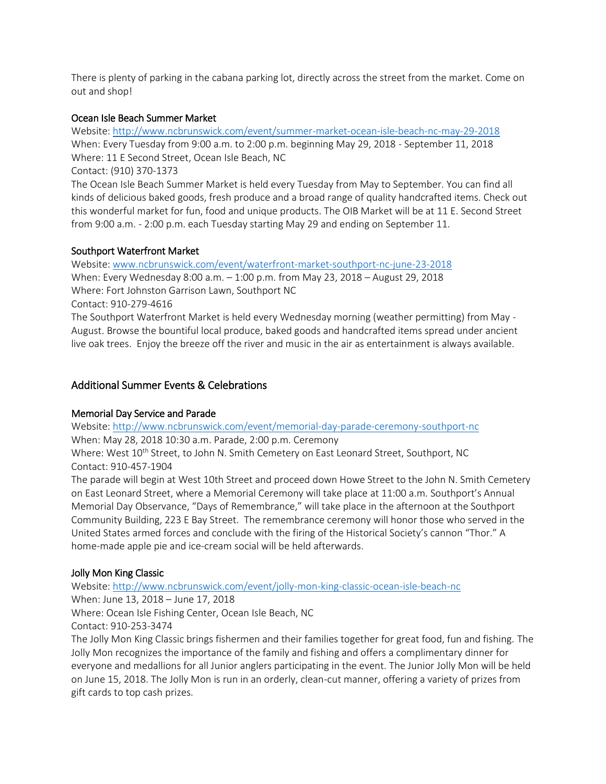There is plenty of parking in the cabana parking lot, directly across the street from the market. Come on out and shop!

### Ocean Isle Beach Summer Market

Website:<http://www.ncbrunswick.com/event/summer-market-ocean-isle-beach-nc-may-29-2018> When: Every Tuesday from 9:00 a.m. to 2:00 p.m. beginning May 29, 2018 - September 11, 2018 Where: 11 E Second Street, Ocean Isle Beach, NC

Contact: (910) 370-1373

The Ocean Isle Beach Summer Market is held every Tuesday from May to September. You can find all kinds of delicious baked goods, fresh produce and a broad range of quality handcrafted items. Check out this wonderful market for fun, food and unique products. The OIB Market will be at 11 E. Second Street from 9:00 a.m. - 2:00 p.m. each Tuesday starting May 29 and ending on September 11.

## Southport Waterfront Market

Website: [www.ncbrunswick.com/event/waterfront-market-southport-nc-june-23-2018](file:///C:/Users/Rachel/AppData/Local/Microsoft/Windows/INetCache/Content.Outlook/3PHWYJTT/www.ncbrunswick.com/event/waterfront-market-southport-nc-june-13-2018) When: Every Wednesday 8:00 a.m. – 1:00 p.m. from May 23, 2018 – August 29, 2018 Where: Fort Johnston Garrison Lawn, Southport NC Contact: 910-279-4616 The Southport Waterfront Market is held every Wednesday morning (weather permitting) from May - August. Browse the bountiful local produce, baked goods and handcrafted items spread under ancient

live oak trees. Enjoy the breeze off the river and music in the air as entertainment is always available.

# Additional Summer Events & Celebrations

#### Memorial Day Service and Parade

Website:<http://www.ncbrunswick.com/event/memorial-day-parade-ceremony-southport-nc>

When: May 28, 2018 10:30 a.m. Parade, 2:00 p.m. Ceremony

Where: West 10<sup>th</sup> Street, to John N. Smith Cemetery on East Leonard Street, Southport, NC Contact: 910-457-1904

The parade will begin at West 10th Street and proceed down Howe Street to the John N. Smith Cemetery on East Leonard Street, where a Memorial Ceremony will take place at 11:00 a.m. Southport's Annual Memorial Day Observance, "Days of Remembrance," will take place in the afternoon at the Southport Community Building, 223 E Bay Street. The remembrance ceremony will honor those who served in the United States armed forces and conclude with the firing of the Historical Society's cannon "Thor." A home-made apple pie and ice-cream social will be held afterwards.

#### Jolly Mon King Classic

Website:<http://www.ncbrunswick.com/event/jolly-mon-king-classic-ocean-isle-beach-nc>

When: June 13, 2018 – June 17, 2018

Where: Ocean Isle Fishing Center, Ocean Isle Beach, NC

Contact: 910-253-3474

The Jolly Mon King Classic brings fishermen and their families together for great food, fun and fishing. The Jolly Mon recognizes the importance of the family and fishing and offers a complimentary dinner for everyone and medallions for all Junior anglers participating in the event. The Junior Jolly Mon will be held on June 15, 2018. The Jolly Mon is run in an orderly, clean-cut manner, offering a variety of prizes from gift cards to top cash prizes.